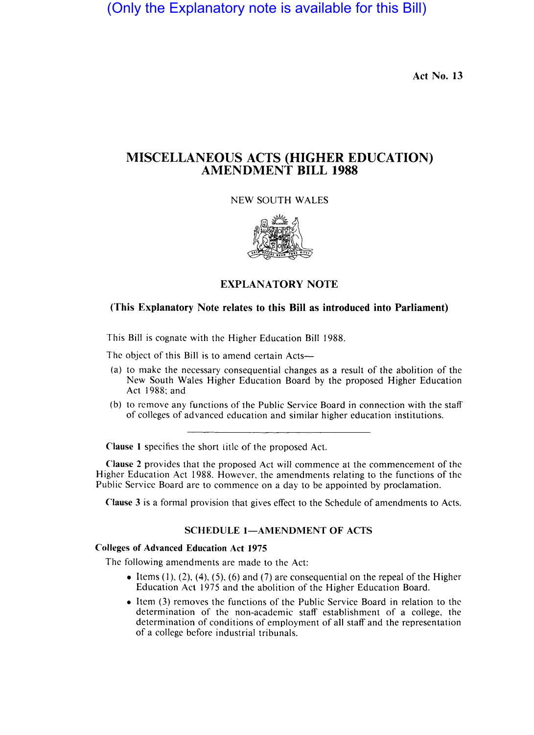(Only the Explanatory note is available for this Bill)

Act No. 13

# MISCELLANEOUS ACTS (HIGHER EDUCATION) AMENDMENT BILL 1988

NEW SOUTH WALES



## EXPLANATORY NOTE

## (This Explanatory Note relates to this Bill as introduced into Parliament)

This Bill is cognate with the Higher Education Bill 1988.

The object of this Bill is to amend certain Acts—

- (a) to make the necessary consequential changes as a result of the abolition of the New South Wales Higher Education Board by the proposed Higher Education Act 1988; and
- (b) to remove any functions of the Public Service Board in connection with the staff of colleges of advanced education and similar higher education institutions.

Clause 1 specifics the short titlc of the proposed Act.

Clause 2 provides that the proposed Act will commence at the commencement of the Higher Education Act 1988. However, the amendments relating to the functions of the Public Service Board are to commence on a day to be appointed by proclamation.

Clause 3 is a formal provision that gives effect to the Schedule of amendments to Acts.

## SCHEDULE 1-AMENDMENT OF ACTS

### Colleges of Advanced Education Act 1975

The following amendments are made to the Act:

- Items  $(1)$ ,  $(2)$ ,  $(4)$ ,  $(5)$ ,  $(6)$  and  $(7)$  are consequential on the repeal of the Higher Education Act 1975 and the abolition of the Higher Education Board.
- Item (3) removes the functions of the Public Service Board in relation to the determination of the non-academic staff establishment of a college, the determination of conditions of employment of all staff and the representation of a college before industrial tribunals.